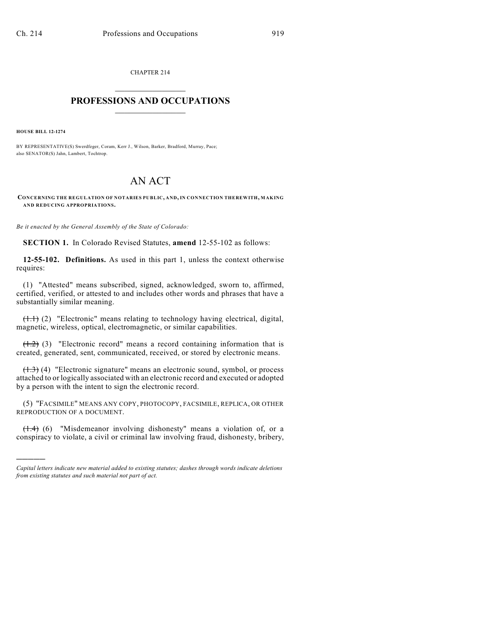CHAPTER 214  $\overline{\phantom{a}}$  . The set of the set of the set of the set of the set of the set of the set of the set of the set of the set of the set of the set of the set of the set of the set of the set of the set of the set of the set o

## **PROFESSIONS AND OCCUPATIONS**  $\frac{1}{2}$  ,  $\frac{1}{2}$  ,  $\frac{1}{2}$  ,  $\frac{1}{2}$  ,  $\frac{1}{2}$  ,  $\frac{1}{2}$

**HOUSE BILL 12-1274**

)))))

BY REPRESENTATIVE(S) Swerdfeger, Coram, Kerr J., Wilson, Barker, Bradford, Murray, Pace; also SENATOR(S) Jahn, Lambert, Tochtrop.

## AN ACT

**CONCERNING THE REGULATION OF NOTARIES PUBLIC, AND, IN CONNECTION THEREWITH, MAKING AND REDUCING APPROPRIATIONS.**

*Be it enacted by the General Assembly of the State of Colorado:*

**SECTION 1.** In Colorado Revised Statutes, **amend** 12-55-102 as follows:

**12-55-102. Definitions.** As used in this part 1, unless the context otherwise requires:

(1) "Attested" means subscribed, signed, acknowledged, sworn to, affirmed, certified, verified, or attested to and includes other words and phrases that have a substantially similar meaning.

(1.1) (2) "Electronic" means relating to technology having electrical, digital, magnetic, wireless, optical, electromagnetic, or similar capabilities.

 $(1.2)$  (3) "Electronic record" means a record containing information that is created, generated, sent, communicated, received, or stored by electronic means.

(1.3) (4) "Electronic signature" means an electronic sound, symbol, or process attached to or logically associated with an electronic record and executed or adopted by a person with the intent to sign the electronic record.

(5) "FACSIMILE" MEANS ANY COPY, PHOTOCOPY, FACSIMILE, REPLICA, OR OTHER REPRODUCTION OF A DOCUMENT.

 $(1.4)$  (6) "Misdemeanor involving dishonesty" means a violation of, or a conspiracy to violate, a civil or criminal law involving fraud, dishonesty, bribery,

*Capital letters indicate new material added to existing statutes; dashes through words indicate deletions from existing statutes and such material not part of act.*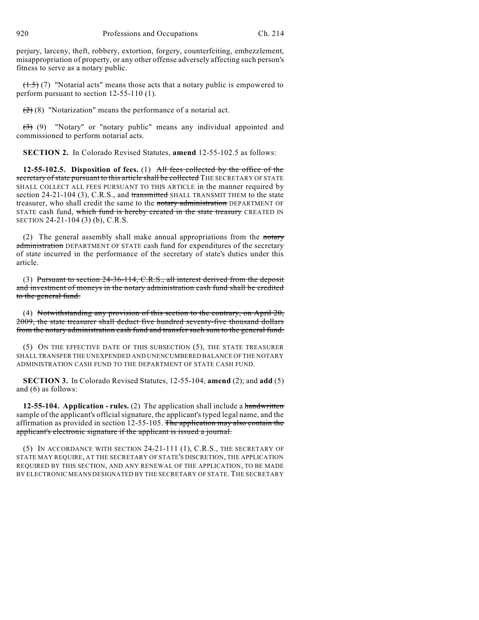perjury, larceny, theft, robbery, extortion, forgery, counterfeiting, embezzlement, misappropriation of property, or any other offense adversely affecting such person's fitness to serve as a notary public.

 $(1.5)$  (7) "Notarial acts" means those acts that a notary public is empowered to perform pursuant to section 12-55-110 (1).

 $(2)$  (8) "Notarization" means the performance of a notarial act.

 $(3)$  (9) "Notary" or "notary public" means any individual appointed and commissioned to perform notarial acts.

**SECTION 2.** In Colorado Revised Statutes, **amend** 12-55-102.5 as follows:

**12-55-102.5. Disposition of fees.** (1) All fees collected by the office of the secretary of state pursuant to this article shall be collected THE SECRETARY OF STATE SHALL COLLECT ALL FEES PURSUANT TO THIS ARTICLE in the manner required by section 24-21-104 (3), C.R.S., and transmitted SHALL TRANSMIT THEM to the state treasurer, who shall credit the same to the notary administration DEPARTMENT OF STATE cash fund, which fund is hereby created in the state treasury CREATED IN SECTION 24-21-104 (3) (b), C.R.S.

(2) The general assembly shall make annual appropriations from the  $\frac{1}{\pi}$ administration DEPARTMENT OF STATE cash fund for expenditures of the secretary of state incurred in the performance of the secretary of state's duties under this article.

(3) Pursuant to section 24-36-114, C.R.S., all interest derived from the deposit and investment of moneys in the notary administration cash fund shall be credited to the general fund.

(4) Notwithstanding any provision of this section to the contrary, on April 20, 2009, the state treasurer shall deduct five hundred seventy-five thousand dollars from the notary administration cash fund and transfer such sum to the general fund.

(5) ON THE EFFECTIVE DATE OF THIS SUBSECTION (5), THE STATE TREASURER SHALL TRANSFER THE UNEXPENDED AND UNENCUMBERED BALANCE OF THE NOTARY ADMINISTRATION CASH FUND TO THE DEPARTMENT OF STATE CASH FUND.

**SECTION 3.** In Colorado Revised Statutes, 12-55-104, **amend** (2); and **add** (5) and (6) as follows:

**12-55-104. Application - rules.** (2) The application shall include a handwritten sample of the applicant's official signature, the applicant's typed legal name, and the affirmation as provided in section 12-55-105. The application may also contain the applicant's electronic signature if the applicant is issued a journal.

(5) IN ACCORDANCE WITH SECTION 24-21-111 (1), C.R.S., THE SECRETARY OF STATE MAY REQUIRE, AT THE SECRETARY OF STATE'S DISCRETION, THE APPLICATION REQUIRED BY THIS SECTION, AND ANY RENEWAL OF THE APPLICATION, TO BE MADE BY ELECTRONIC MEANS DESIGNATED BY THE SECRETARY OF STATE. THE SECRETARY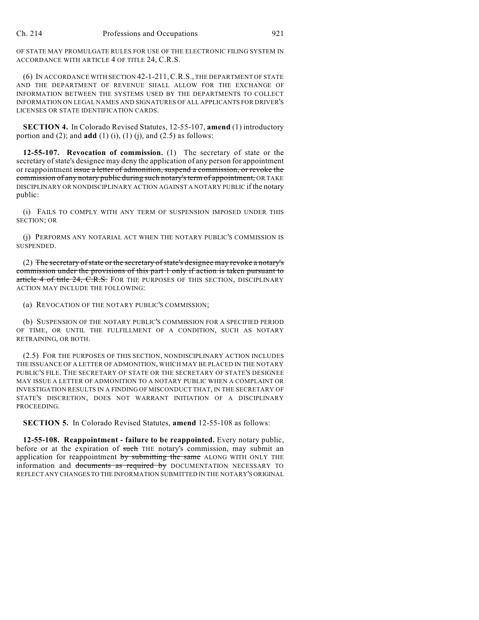OF STATE MAY PROMULGATE RULES FOR USE OF THE ELECTRONIC FILING SYSTEM IN ACCORDANCE WITH ARTICLE 4 OF TITLE 24, C.R.S.

(6) IN ACCORDANCE WITH SECTION 42-1-211,C.R.S., THE DEPARTMENT OF STATE AND THE DEPARTMENT OF REVENUE SHALL ALLOW FOR THE EXCHANGE OF INFORMATION BETWEEN THE SYSTEMS USED BY THE DEPARTMENTS TO COLLECT INFORMATION ON LEGAL NAMES AND SIGNATURES OF ALL APPLICANTS FOR DRIVER'S LICENSES OR STATE IDENTIFICATION CARDS.

**SECTION 4.** In Colorado Revised Statutes, 12-55-107, **amend** (1) introductory portion and  $(2)$ ; and **add**  $(1)$   $(i)$ ,  $(1)$   $(i)$ , and  $(2.5)$  as follows:

**12-55-107. Revocation of commission.** (1) The secretary of state or the secretary ofstate's designee may deny the application of any person for appointment or reappointment issue a letter of admonition, suspend a commission, or revoke the commission of any notary public during such notary'sterm of appointment, OR TAKE DISCIPLINARY OR NONDISCIPLINARY ACTION AGAINST A NOTARY PUBLIC if the notary public:

(i) FAILS TO COMPLY WITH ANY TERM OF SUSPENSION IMPOSED UNDER THIS SECTION; OR

(j) PERFORMS ANY NOTARIAL ACT WHEN THE NOTARY PUBLIC'S COMMISSION IS SUSPENDED.

(2) The secretary of state or the secretary of state's designee may revoke a notary's commission under the provisions of this part 1 only if action is taken pursuant to article 4 of title 24, C.R.S. FOR THE PURPOSES OF THIS SECTION, DISCIPLINARY ACTION MAY INCLUDE THE FOLLOWING:

(a) REVOCATION OF THE NOTARY PUBLIC'S COMMISSION;

(b) SUSPENSION OF THE NOTARY PUBLIC'S COMMISSION FOR A SPECIFIED PERIOD OF TIME, OR UNTIL THE FULFILLMENT OF A CONDITION, SUCH AS NOTARY RETRAINING, OR BOTH.

(2.5) FOR THE PURPOSES OF THIS SECTION, NONDISCIPLINARY ACTION INCLUDES THE ISSUANCE OF A LETTER OF ADMONITION, WHICH MAY BE PLACED IN THE NOTARY PUBLIC'S FILE. THE SECRETARY OF STATE OR THE SECRETARY OF STATE'S DESIGNEE MAY ISSUE A LETTER OF ADMONITION TO A NOTARY PUBLIC WHEN A COMPLAINT OR INVESTIGATION RESULTS IN A FINDING OF MISCONDUCT THAT, IN THE SECRETARY OF STATE'S DISCRETION, DOES NOT WARRANT INITIATION OF A DISCIPLINARY PROCEEDING.

**SECTION 5.** In Colorado Revised Statutes, **amend** 12-55-108 as follows:

**12-55-108. Reappointment - failure to be reappointed.** Every notary public, before or at the expiration of such THE notary's commission, may submit an application for reappointment by submitting the same ALONG WITH ONLY THE information and documents as required by DOCUMENTATION NECESSARY TO REFLECT ANY CHANGES TO THE INFORMATION SUBMITTED IN THE NOTARY'S ORIGINAL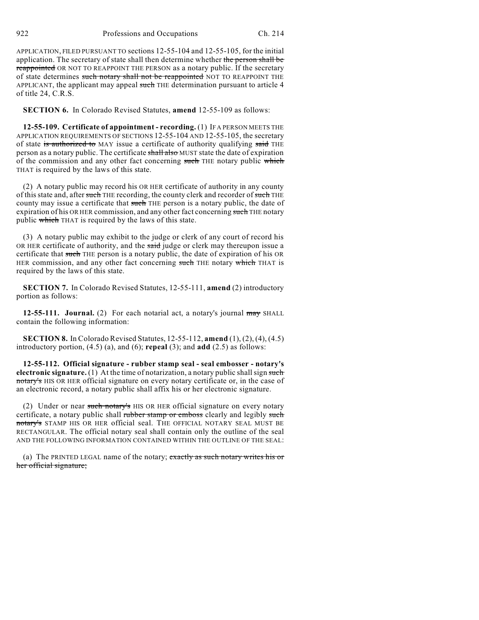922 Professions and Occupations Ch. 214

APPLICATION, FILED PURSUANT TO sections 12-55-104 and 12-55-105, for the initial application. The secretary of state shall then determine whether the person shall be reappointed OR NOT TO REAPPOINT THE PERSON as a notary public. If the secretary of state determines such notary shall not be reappointed NOT TO REAPPOINT THE APPLICANT, the applicant may appeal such THE determination pursuant to article 4 of title 24, C.R.S.

**SECTION 6.** In Colorado Revised Statutes, **amend** 12-55-109 as follows:

**12-55-109. Certificate of appointment - recording.** (1) IF A PERSON MEETS THE APPLICATION REQUIREMENTS OF SECTIONS 12-55-104 AND 12-55-105, the secretary of state is authorized to MAY issue a certificate of authority qualifying said THE person as a notary public. The certificate shall also MUST state the date of expiration of the commission and any other fact concerning such THE notary public which THAT is required by the laws of this state.

(2) A notary public may record his OR HER certificate of authority in any county of this state and, after such THE recording, the county clerk and recorder of such THE county may issue a certificate that such THE person is a notary public, the date of expiration of his OR HER commission, and any other fact concerning such THE notary public which THAT is required by the laws of this state.

(3) A notary public may exhibit to the judge or clerk of any court of record his OR HER certificate of authority, and the said judge or clerk may thereupon issue a certificate that such THE person is a notary public, the date of expiration of his OR HER commission, and any other fact concerning such THE notary which THAT is required by the laws of this state.

**SECTION 7.** In Colorado Revised Statutes, 12-55-111, **amend** (2) introductory portion as follows:

**12-55-111. Journal.** (2) For each notarial act, a notary's journal may SHALL contain the following information:

**SECTION 8.** In Colorado Revised Statutes, 12-55-112, **amend** (1), (2), (4), (4.5) introductory portion, (4.5) (a), and (6); **repeal** (3); and **add** (2.5) as follows:

**12-55-112. Official signature - rubber stamp seal - seal embosser - notary's electronic signature.** (1) At the time of notarization, a notary public shall sign such notary's HIS OR HER official signature on every notary certificate or, in the case of an electronic record, a notary public shall affix his or her electronic signature.

(2) Under or near such notary's HIS OR HER official signature on every notary certificate, a notary public shall rubber stamp or emboss clearly and legibly such notary's STAMP HIS OR HER official seal. THE OFFICIAL NOTARY SEAL MUST BE RECTANGULAR. The official notary seal shall contain only the outline of the seal AND THE FOLLOWING INFORMATION CONTAINED WITHIN THE OUTLINE OF THE SEAL:

(a) The PRINTED LEGAL name of the notary; exactly as such notary writes his or her official signature;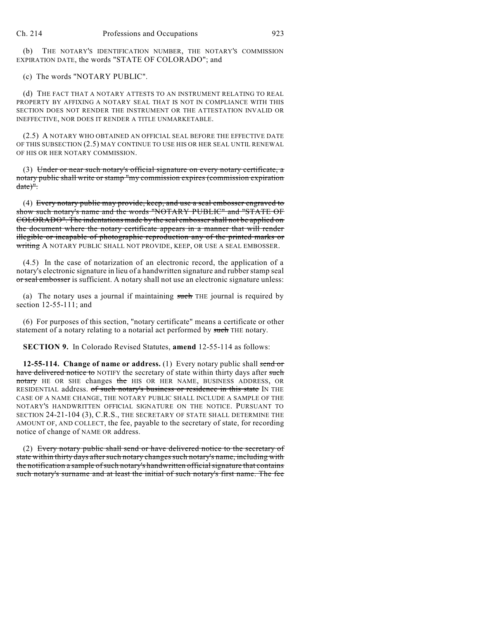(b) THE NOTARY'S IDENTIFICATION NUMBER, THE NOTARY'S COMMISSION EXPIRATION DATE, the words "STATE OF COLORADO"; and

(c) The words "NOTARY PUBLIC".

(d) THE FACT THAT A NOTARY ATTESTS TO AN INSTRUMENT RELATING TO REAL PROPERTY BY AFFIXING A NOTARY SEAL THAT IS NOT IN COMPLIANCE WITH THIS SECTION DOES NOT RENDER THE INSTRUMENT OR THE ATTESTATION INVALID OR INEFFECTIVE, NOR DOES IT RENDER A TITLE UNMARKETABLE.

(2.5) A NOTARY WHO OBTAINED AN OFFICIAL SEAL BEFORE THE EFFECTIVE DATE OF THIS SUBSECTION (2.5) MAY CONTINUE TO USE HIS OR HER SEAL UNTIL RENEWAL OF HIS OR HER NOTARY COMMISSION.

(3) Under or near such notary's official signature on every notary certificate, a notary public shall write or stamp "my commission expires (commission expiration date)".

(4) Every notary public may provide, keep, and use a seal embosser engraved to show such notary's name and the words "NOTARY PUBLIC" and "STATE OF COLORADO". The indentations made by the seal embosser shall not be applied on the document where the notary certificate appears in a manner that will render illegible or incapable of photographic reproduction any of the printed marks or writing A NOTARY PUBLIC SHALL NOT PROVIDE, KEEP, OR USE A SEAL EMBOSSER.

(4.5) In the case of notarization of an electronic record, the application of a notary's electronic signature in lieu of a handwritten signature and rubberstamp seal or seal embosser is sufficient. A notary shall not use an electronic signature unless:

(a) The notary uses a journal if maintaining such THE journal is required by section 12-55-111; and

(6) For purposes of this section, "notary certificate" means a certificate or other statement of a notary relating to a notarial act performed by such THE notary.

**SECTION 9.** In Colorado Revised Statutes, **amend** 12-55-114 as follows:

**12-55-114. Change of name or address.** (1) Every notary public shall send or have delivered notice to NOTIFY the secretary of state within thirty days after such notary HE OR SHE changes the HIS OR HER NAME, BUSINESS ADDRESS, OR RESIDENTIAL address. of such notary's business or residence in this state IN THE CASE OF A NAME CHANGE, THE NOTARY PUBLIC SHALL INCLUDE A SAMPLE OF THE NOTARY'S HANDWRITTEN OFFICIAL SIGNATURE ON THE NOTICE. PURSUANT TO SECTION 24-21-104 (3), C.R.S., THE SECRETARY OF STATE SHALL DETERMINE THE AMOUNT OF, AND COLLECT, the fee, payable to the secretary of state, for recording notice of change of NAME OR address.

(2) Every notary public shall send or have delivered notice to the secretary of state within thirty days after such notary changes such notary's name, including with the notification a sample of such notary's handwritten official signature that contains such notary's surname and at least the initial of such notary's first name. The fee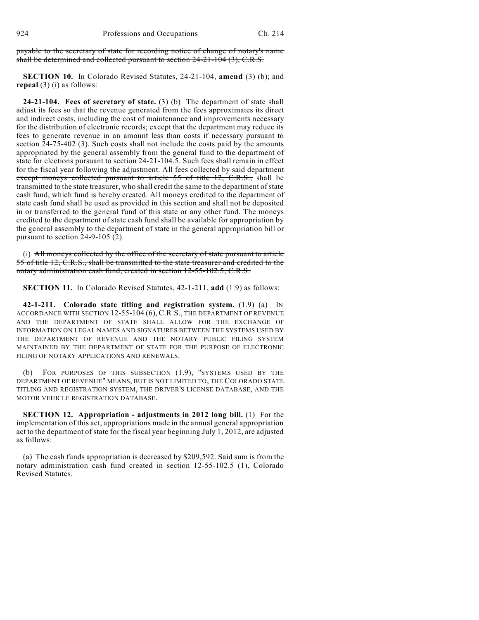payable to the secretary of state for recording notice of change of notary's name shall be determined and collected pursuant to section 24-21-104 (3), C.R.S.

**SECTION 10.** In Colorado Revised Statutes, 24-21-104, **amend** (3) (b); and **repeal** (3) (i) as follows:

**24-21-104. Fees of secretary of state.** (3) (b) The department of state shall adjust its fees so that the revenue generated from the fees approximates its direct and indirect costs, including the cost of maintenance and improvements necessary for the distribution of electronic records; except that the department may reduce its fees to generate revenue in an amount less than costs if necessary pursuant to section 24-75-402 (3). Such costs shall not include the costs paid by the amounts appropriated by the general assembly from the general fund to the department of state for elections pursuant to section 24-21-104.5. Such fees shall remain in effect for the fiscal year following the adjustment. All fees collected by said department except moneys collected pursuant to article 55 of title 12, C.R.S., shall be transmitted to the state treasurer, who shall credit the same to the department of state cash fund, which fund is hereby created. All moneys credited to the department of state cash fund shall be used as provided in this section and shall not be deposited in or transferred to the general fund of this state or any other fund. The moneys credited to the department of state cash fund shall be available for appropriation by the general assembly to the department of state in the general appropriation bill or pursuant to section 24-9-105 (2).

(i) All moneys collected by the office of the secretary of state pursuant to article 55 of title 12, C.R.S., shall be transmitted to the state treasurer and credited to the notary administration cash fund, created in section 12-55-102.5, C.R.S.

**SECTION 11.** In Colorado Revised Statutes, 42-1-211, **add** (1.9) as follows:

**42-1-211. Colorado state titling and registration system.** (1.9) (a) IN ACCORDANCE WITH SECTION 12-55-104 (6), C.R.S., THE DEPARTMENT OF REVENUE AND THE DEPARTMENT OF STATE SHALL ALLOW FOR THE EXCHANGE OF INFORMATION ON LEGAL NAMES AND SIGNATURES BETWEEN THE SYSTEMS USED BY THE DEPARTMENT OF REVENUE AND THE NOTARY PUBLIC FILING SYSTEM MAINTAINED BY THE DEPARTMENT OF STATE FOR THE PURPOSE OF ELECTRONIC FILING OF NOTARY APPLICATIONS AND RENEWALS.

(b) FOR PURPOSES OF THIS SUBSECTION (1.9), "SYSTEMS USED BY THE DEPARTMENT OF REVENUE" MEANS, BUT IS NOT LIMITED TO, THE COLORADO STATE TITLING AND REGISTRATION SYSTEM, THE DRIVER'S LICENSE DATABASE, AND THE MOTOR VEHICLE REGISTRATION DATABASE.

**SECTION 12. Appropriation - adjustments in 2012 long bill.** (1) For the implementation of this act, appropriations made in the annual general appropriation act to the department of state for the fiscal year beginning July 1, 2012, are adjusted as follows:

(a) The cash funds appropriation is decreased by \$209,592. Said sum is from the notary administration cash fund created in section 12-55-102.5 (1), Colorado Revised Statutes.